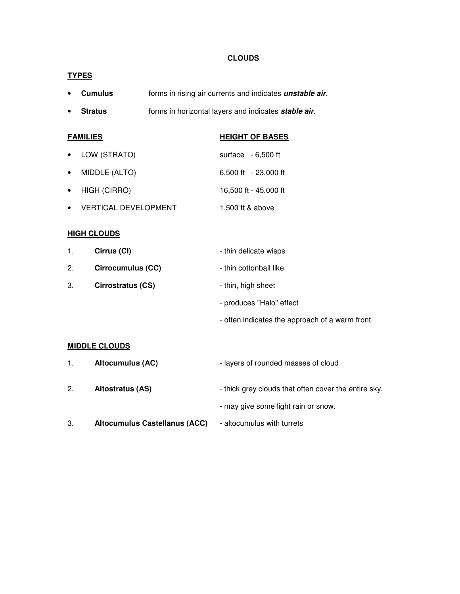## **CLOUDS**

# **TYPES**

- **Cumulus** forms in rising air currents and indicates **unstable air**.
- **Stratus** forms in horizontal layers and indicates **stable air**.

| <b>FAMILIES</b> |                             | <b>HEIGHT OF BASES</b> |
|-----------------|-----------------------------|------------------------|
|                 | LOW (STRATO)                | surface $-6,500$ ft    |
| $\bullet$       | MIDDLE (ALTO)               | 6,500 ft - 23,000 ft   |
|                 | HIGH (CIRRO)                | 16,500 ft - 45,000 ft  |
|                 | <b>VERTICAL DEVELOPMENT</b> | 1,500 ft & above       |

# **HIGH CLOUDS**

| 1. | Cirrus (CI)              | - thin delicate wisps    |
|----|--------------------------|--------------------------|
| 2. | Cirrocumulus (CC)        | - thin cottonball like   |
| З. | <b>Cirrostratus (CS)</b> | - thin, high sheet       |
|    |                          | - produces "Halo" effect |

- often indicates the approach of a warm front

## **MIDDLE CLOUDS**

| $1_{-}$ | <b>Altocumulus (AC)</b>              | - layers of rounded masses of cloud                  |
|---------|--------------------------------------|------------------------------------------------------|
| 2.      | Altostratus (AS)                     | - thick grey clouds that often cover the entire sky. |
|         |                                      | - may give some light rain or snow.                  |
| З.      | <b>Altocumulus Castellanus (ACC)</b> | - altocumulus with turrets                           |